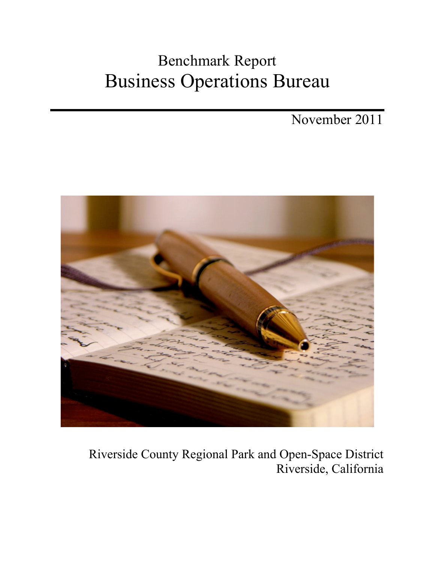# Benchmark Report Business Operations Bureau

November 2011



# Riverside County Regional Park and Open-Space District Riverside, California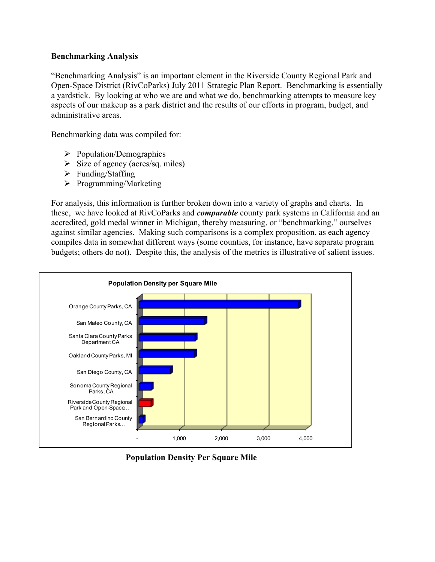#### **Benchmarking Analysis**

"Benchmarking Analysis" is an important element in the Riverside County Regional Park and Open-Space District (RivCoParks) July 2011 Strategic Plan Report. Benchmarking is essentially a yardstick. By looking at who we are and what we do, benchmarking attempts to measure key aspects of our makeup as a park district and the results of our efforts in program, budget, and administrative areas.

Benchmarking data was compiled for:

- $\triangleright$  Population/Demographics
- $\triangleright$  Size of agency (acres/sq. miles)
- $\triangleright$  Funding/Staffing
- $\triangleright$  Programming/Marketing

For analysis, this information is further broken down into a variety of graphs and charts. In these, we have looked at RivCoParks and *comparable* county park systems in California and an accredited, gold medal winner in Michigan, thereby measuring, or "benchmarking," ourselves against similar agencies. Making such comparisons is a complex proposition, as each agency compiles data in somewhat different ways (some counties, for instance, have separate program budgets; others do not). Despite this, the analysis of the metrics is illustrative of salient issues.



 **Population Density Per Square Mile**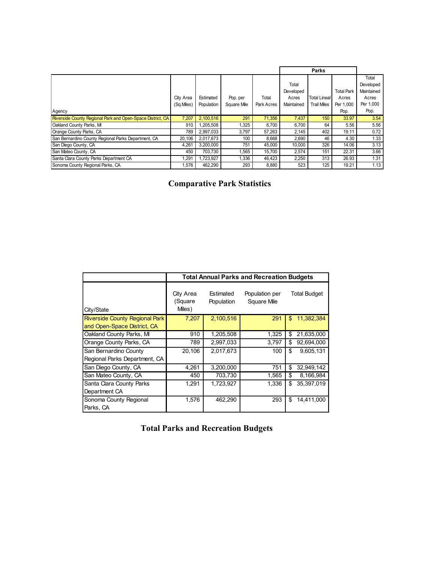|                                                            |            |            |             |            |            | Parks               |                   |            |
|------------------------------------------------------------|------------|------------|-------------|------------|------------|---------------------|-------------------|------------|
|                                                            |            |            |             |            |            |                     |                   | Total      |
|                                                            |            |            |             |            | Total      |                     |                   | Developed  |
|                                                            |            |            |             |            | Developed  |                     | <b>Total Park</b> | Maintained |
|                                                            | City Area  | Estimated  | Pop. per    | Total      | Acres      | <b>Total Lineal</b> | Acres             | Acres      |
|                                                            | (Sq.Miles) | Population | Square Mile | Park Acres | Maintained | <b>Trail Miles</b>  | Per 1.000         | Per 1,000  |
| Agency                                                     |            |            |             |            |            |                     | Pop.              | Pop.       |
| Riverside County Regional Park and Open-Space District, CA | 7,207      | 2,100,516  | 291         | 71,356     | 7,437      | 150                 | 33.97             | 3.54       |
| Oakland County Parks, MI                                   | 910        | 1.205.508  | 1.325       | 6,700      | 6.700      | 64                  | 5.56              | 5.56       |
| Orange County Parks, CA                                    | 789        | 2,997,033  | 3.797       | 57.263     | 2,145      | 402                 | 19.11             | 0.72       |
| San Bernardino County Regional Parks Department, CA        | 20,106     | 2,017,673  | 100         | 8,668      | 2,690      | 46                  | 4.30              | 1.33       |
| San Diego County, CA                                       | 4,261      | 3,200,000  | 751         | 45,000     | 10.000     | 326                 | 14.06             | 3.13       |
| San Mateo County, CA                                       | 450        | 703.730    | 1.565       | 15.700     | 2,574      | 151                 | 22.31             | 3.66       |
| Santa Clara County Parks Department CA                     | 1,291      | ,723,927   | 1,336       | 46,423     | 2,250      | 313                 | 26.93             | 1.31       |
| Sonoma County Regional Parks, CA                           | 1.576      | 462.290    | 293         | 8,880      | 523        | 125                 | 19.21             | 1.13       |

 **Comparative Park Statistics**

|                                                                      | <b>Total Annual Parks and Recreation Budgets</b> |                         |                               |                     |  |  |  |
|----------------------------------------------------------------------|--------------------------------------------------|-------------------------|-------------------------------|---------------------|--|--|--|
| City/State                                                           | City Area<br>(Square<br>Miles)                   | Estimated<br>Population | Population per<br>Square Mile | <b>Total Budget</b> |  |  |  |
| <b>Riverside County Regional Park</b><br>and Open-Space District, CA | 7,207                                            | 2,100,516               | 291                           | 11,382,384<br>\$    |  |  |  |
| Oakland County Parks, MI                                             | 910                                              | 1,205,508               | 1,325                         | \$<br>21,635,000    |  |  |  |
| Orange County Parks, CA                                              | 789                                              | 2,997,033               | 3,797                         | 92,694,000<br>\$    |  |  |  |
| San Bernardino County<br>Regional Parks Department, CA               | 20,106                                           | 2,017,673               | 100                           | \$<br>9,605,131     |  |  |  |
| San Diego County, CA                                                 | 4,261                                            | 3,200,000               | 751                           | \$<br>32,949,142    |  |  |  |
| San Mateo County, CA                                                 | 450                                              | 703,730                 | 1,565                         | \$<br>8,166,984     |  |  |  |
| Santa Clara County Parks<br>Department CA                            | 1,291                                            | 1,723,927               | 1,336                         | 35,397,019<br>\$    |  |  |  |
| Sonoma County Regional<br>Parks, CA                                  | 1,576                                            | 462,290                 | 293                           | \$<br>14,411,000    |  |  |  |

| <b>Total Parks and Recreation Budgets</b> |
|-------------------------------------------|
|-------------------------------------------|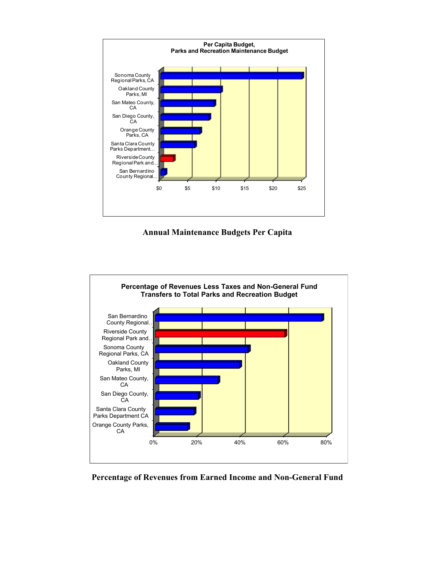

#### **Annual Maintenance Budgets Per Capita**



## **Percentage of Revenues from Earned Income and Non-General Fund**